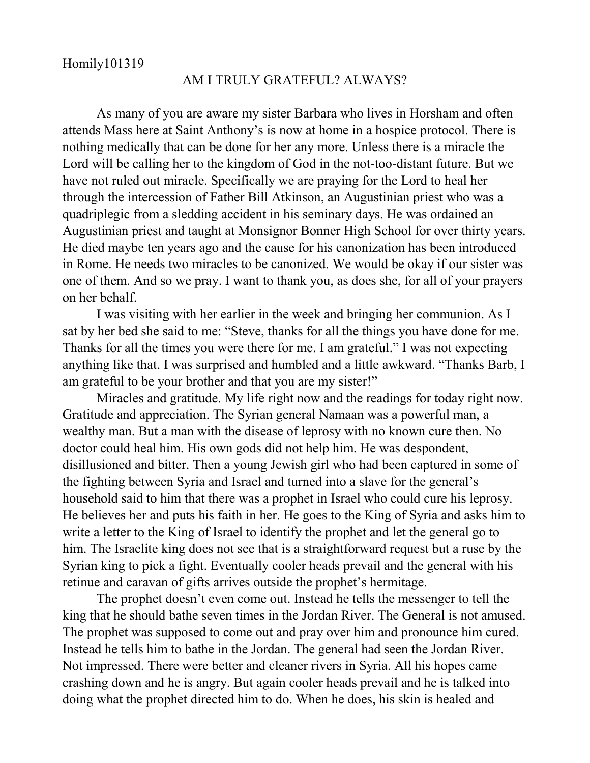## AM I TRULY GRATEFUL? ALWAYS?

As many of you are aware my sister Barbara who lives in Horsham and often attends Mass here at Saint Anthony's is now at home in a hospice protocol. There is nothing medically that can be done for her any more. Unless there is a miracle the Lord will be calling her to the kingdom of God in the not-too-distant future. But we have not ruled out miracle. Specifically we are praying for the Lord to heal her through the intercession of Father Bill Atkinson, an Augustinian priest who was a quadriplegic from a sledding accident in his seminary days. He was ordained an Augustinian priest and taught at Monsignor Bonner High School for over thirty years. He died maybe ten years ago and the cause for his canonization has been introduced in Rome. He needs two miracles to be canonized. We would be okay if our sister was one of them. And so we pray. I want to thank you, as does she, for all of your prayers on her behalf.

I was visiting with her earlier in the week and bringing her communion. As I sat by her bed she said to me: "Steve, thanks for all the things you have done for me. Thanks for all the times you were there for me. I am grateful." I was not expecting anything like that. I was surprised and humbled and a little awkward. "Thanks Barb, I am grateful to be your brother and that you are my sister!"

Miracles and gratitude. My life right now and the readings for today right now. Gratitude and appreciation. The Syrian general Namaan was a powerful man, a wealthy man. But a man with the disease of leprosy with no known cure then. No doctor could heal him. His own gods did not help him. He was despondent, disillusioned and bitter. Then a young Jewish girl who had been captured in some of the fighting between Syria and Israel and turned into a slave for the general's household said to him that there was a prophet in Israel who could cure his leprosy. He believes her and puts his faith in her. He goes to the King of Syria and asks him to write a letter to the King of Israel to identify the prophet and let the general go to him. The Israelite king does not see that is a straightforward request but a ruse by the Syrian king to pick a fight. Eventually cooler heads prevail and the general with his retinue and caravan of gifts arrives outside the prophet's hermitage.

The prophet doesn't even come out. Instead he tells the messenger to tell the king that he should bathe seven times in the Jordan River. The General is not amused. The prophet was supposed to come out and pray over him and pronounce him cured. Instead he tells him to bathe in the Jordan. The general had seen the Jordan River. Not impressed. There were better and cleaner rivers in Syria. All his hopes came crashing down and he is angry. But again cooler heads prevail and he is talked into doing what the prophet directed him to do. When he does, his skin is healed and